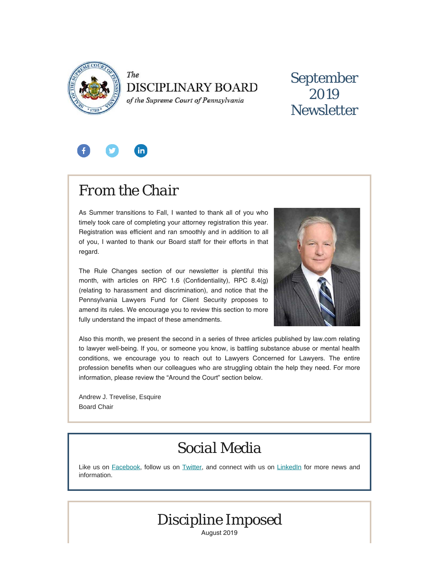

The **DISCIPLINARY BOARD** 

of the Supreme Court of Pennsylvania

## September 2019 **Newsletter**



# *From the Chair*

As Summer transitions to Fall, I wanted to thank all of you who timely took care of completing your attorney registration this year. Registration was efficient and ran smoothly and in addition to all of you, I wanted to thank our Board staff for their efforts in that regard.

The Rule Changes section of our newsletter is plentiful this month, with articles on RPC 1.6 (Confidentiality), RPC 8.4(g) (relating to harassment and discrimination), and notice that the Pennsylvania Lawyers Fund for Client Security proposes to amend its rules. We encourage you to review this section to more fully understand the impact of these amendments.



Also this month, we present the second in a series of three articles published by law.com relating to lawyer well-being. If you, or someone you know, is battling substance abuse or mental health conditions, we encourage you to reach out to Lawyers Concerned for Lawyers. The entire profession benefits when our colleagues who are struggling obtain the help they need. For more information, please review the "Around the Court" section below.

Andrew J. Trevelise, Esquire Board Chair

## *Social Media*

Like us on [Facebook](https://www.facebook.com/DBoardPA), follow us on [Twitter,](https://twitter.com/DBoardPa) and connect with us on [LinkedIn](https://www.linkedin.com/company/pennsylvania-disciplinary-board/) for more news and information.



August 2019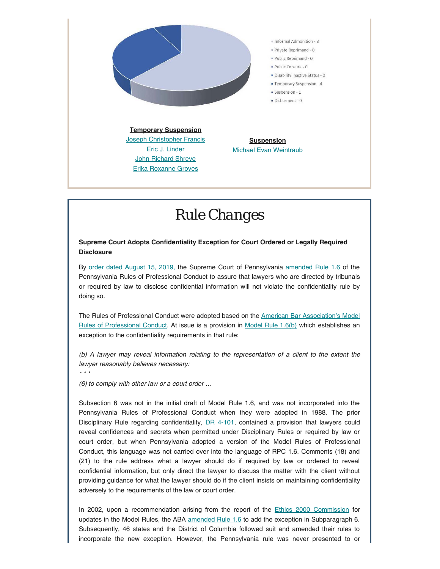

## *Rule Changes*

#### **Supreme Court Adopts Confidentiality Exception for Court Ordered or Legally Required Disclosure**

By [order dated August 15, 2019,](http://www.pacourts.us/assets/opinions/Supreme/out/Order%20Entered%20-%2010410542175330482.pdf?cb=1) the Supreme Court of Pennsylvania [amended Rule 1.6](http://www.pacourts.us/assets/opinions/Supreme/out/Attachment%20-%2010410542175330327.pdf?cb=1) of the Pennsylvania Rules of Professional Conduct to assure that lawyers who are directed by tribunals or required by law to disclose confidential information will not violate the confidentiality rule by doing so.

The Rules of Professional Conduct were adopted based on the [American Bar Association's Model](https://www.americanbar.org/groups/professional_responsibility/publications/model_rules_of_professional_conduct/model_rules_of_professional_conduct_table_of_contents/) [Rules of Professional Conduct](https://www.americanbar.org/groups/professional_responsibility/publications/model_rules_of_professional_conduct/model_rules_of_professional_conduct_table_of_contents/). At issue is a provision in [Model Rule 1.6\(b\)](https://www.americanbar.org/groups/professional_responsibility/publications/model_rules_of_professional_conduct/rule_1_6_confidentiality_of_information/) which establishes an exception to the confidentiality requirements in that rule:

*(b) A lawyer may reveal information relating to the representation of a client to the extent the lawyer reasonably believes necessary:*

*\* \* \**

*(6) to comply with other law or a court order …*

Subsection 6 was not in the initial draft of Model Rule 1.6, and was not incorporated into the Pennsylvania Rules of Professional Conduct when they were adopted in 1988. The prior Disciplinary Rule regarding confidentiality, [DR 4-101](https://www.law.cornell.edu/ethics/aba/mcpr/MCPR.HTM#4-101), contained a provision that lawyers could reveal confidences and secrets when permitted under Disciplinary Rules or required by law or court order, but when Pennsylvania adopted a version of the Model Rules of Professional Conduct, this language was not carried over into the language of RPC 1.6. Comments (18) and (21) to the rule address what a lawyer should do if required by law or ordered to reveal confidential information, but only direct the lawyer to discuss the matter with the client without providing guidance for what the lawyer should do if the client insists on maintaining confidentiality adversely to the requirements of the law or court order.

In 2002, upon a recommendation arising from the report of the [Ethics 2000 Commission](https://www.americanbar.org/groups/professional_responsibility/policy/ethics_2000_commission/) for updates in the Model Rules, the ABA [amended Rule 1.6](https://www.americanbar.org/groups/professional_responsibility/policy/ethics_2000_commission/e2k_rule16h/) to add the exception in Subparagraph 6. Subsequently, 46 states and the District of Columbia followed suit and amended their rules to incorporate the new exception. However, the Pennsylvania rule was never presented to or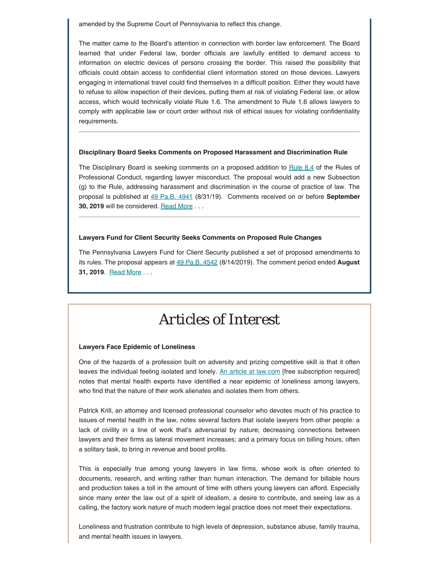amended by the Supreme Court of Pennsylvania to reflect this change.

The matter came to the Board's attention in connection with border law enforcement. The Board learned that under Federal law, border officials are lawfully entitled to demand access to information on electric devices of persons crossing the border. This raised the possibility that officials could obtain access to confidential client information stored on those devices. Lawyers engaging in international travel could find themselves in a difficult position. Either they would have to refuse to allow inspection of their devices, putting them at risk of violating Federal law, or allow access, which would technically violate Rule 1.6. The amendment to Rule 1.6 allows lawyers to comply with applicable law or court order without risk of ethical issues for violating confidentiality requirements.

#### **Disciplinary Board Seeks Comments on Proposed Harassment and Discrimination Rule**

The Disciplinary Board is seeking comments on a proposed addition to [Rule 8.4](https://www.padisciplinaryboard.org/for-attorneys/rules/rule/3/the-rules-of-professional-conduct#rule-260) of the Rules of Professional Conduct, regarding lawyer misconduct. The proposal would add a new Subsection (g) to the Rule, addressing harassment and discrimination in the course of practice of law. The proposal is published at [49 Pa.B. 4941](https://www.pabulletin.com/secure/data/vol49/49-35/1309.html) (8/31/19). Comments received on or before **September 30, 2019** will be considered. [Read More](https://www.padisciplinaryboard.org/news-media/news-article/1144/disciplinary-board-seeks-comments-on-proposed-harassment-and-discrimination-rule) . . .

#### **Lawyers Fund for Client Security Seeks Comments on Proposed Rule Changes**

The Pennsylvania Lawyers Fund for Client Security published a set of proposed amendments to its rules. The proposal appears at [49 Pa.B. 4542](https://www.pabulletin.com/secure/data/vol49/49-33/1229.html) (8/14/2019). The comment period ended **August 31, 2019.** [Read More](https://www.padisciplinaryboard.org/news-media/news-article/1145/lawyers-fund-for-client-security-seeks-comments-on-proposed-rule-changes) . . .

### *Articles of Interest*

#### **Lawyers Face Epidemic of Loneliness**

One of the hazards of a profession built on adversity and prizing competitive skill is that it often leaves the individual feeling isolated and lonely. [An article at law.com](https://www.law.com/2019/05/28/battling-an-epidemic-of-loneliness-among-lawyers/) [free subscription required] notes that mental health experts have identified a near epidemic of loneliness among lawyers, who find that the nature of their work alienates and isolates them from others.

Patrick Krill, an attorney and licensed professional counselor who devotes much of his practice to issues of mental health in the law, notes several factors that isolate lawyers from other people: a lack of civility in a line of work that's adversarial by nature; decreasing connections between lawyers and their firms as lateral movement increases; and a primary focus on billing hours, often a solitary task, to bring in revenue and boost profits.

This is especially true among young lawyers in law firms, whose work is often oriented to documents, research, and writing rather than human interaction. The demand for billable hours and production takes a toll in the amount of time with others young lawyers can afford. Especially since many enter the law out of a spirit of idealism, a desire to contribute, and seeing law as a calling, the factory work nature of much modern legal practice does not meet their expectations.

Loneliness and frustration contribute to high levels of depression, substance abuse, family trauma, and mental health issues in lawyers.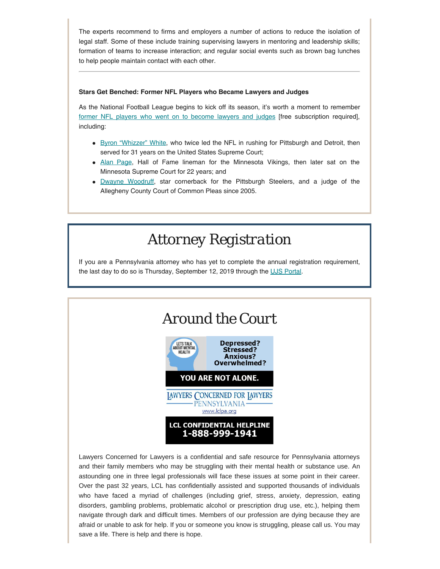The experts recommend to firms and employers a number of actions to reduce the isolation of legal staff. Some of these include training supervising lawyers in mentoring and leadership skills; formation of teams to increase interaction; and regular social events such as brown bag lunches to help people maintain contact with each other.

#### **Stars Get Benched: Former NFL Players who Became Lawyers and Judges**

As the National Football League begins to kick off its season, it's worth a moment to remember [former NFL players who went on to become lawyers and judges](https://www.law.com/2019/08/23/this-scotus-justice-isnt-the-only-nfl-player-who-became-a-lawyer/) [free subscription required], including:

- **[Byron "Whizzer" White,](https://en.wikipedia.org/wiki/Byron_White) who twice led the NFL in rushing for Pittsburgh and Detroit, then** served for 31 years on the United States Supreme Court;
- [Alan Page,](https://en.wikipedia.org/wiki/Alan_Page) Hall of Fame lineman for the Minnesota Vikings, then later sat on the Minnesota Supreme Court for 22 years; and
- [Dwayne Woodruff](https://en.wikipedia.org/wiki/Dwayne_Woodruff), star cornerback for the Pittsburgh Steelers, and a judge of the Allegheny County Court of Common Pleas since 2005.

### *Attorney Registration*

If you are a Pennsylvania attorney who has yet to complete the annual registration requirement, the last day to do so is Thursday, September 12, 2019 through the [UJS Portal](https://ujsportal.pacourts.us/Secure/AttorneyAnnualRegistration/PendingRegistrations.aspx).



Lawyers Concerned for Lawyers is a confidential and safe resource for Pennsylvania attorneys and their family members who may be struggling with their mental health or substance use. An astounding one in three legal professionals will face these issues at some point in their career. Over the past 32 years, LCL has confidentially assisted and supported thousands of individuals who have faced a myriad of challenges (including grief, stress, anxiety, depression, eating disorders, gambling problems, problematic alcohol or prescription drug use, etc.), helping them navigate through dark and difficult times. Members of our profession are dying because they are afraid or unable to ask for help. If you or someone you know is struggling, please call us. You may save a life. There is help and there is hope.